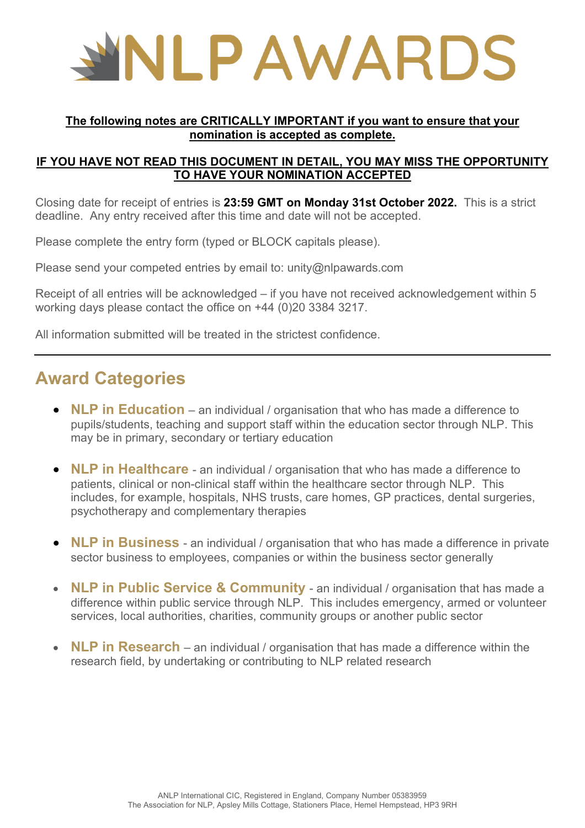

#### **The following notes are CRITICALLY IMPORTANT if you want to ensure that your nomination is accepted as complete.**

#### **IF YOU HAVE NOT READ THIS DOCUMENT IN DETAIL, YOU MAY MISS THE OPPORTUNITY TO HAVE YOUR NOMINATION ACCEPTED**

Closing date for receipt of entries is **23:59 GMT on Monday 31st October 2022.** This is a strict deadline. Any entry received after this time and date will not be accepted.

Please complete the entry form (typed or BLOCK capitals please).

Please send your competed entries by email to: unity@nlpawards.com

Receipt of all entries will be acknowledged – if you have not received acknowledgement within 5 working days please contact the office on +44 (0)20 3384 3217.

All information submitted will be treated in the strictest confidence.

### **Award Categories**

- **NLP in Education** an individual / organisation that who has made a difference to pupils/students, teaching and support staff within the education sector through NLP. This may be in primary, secondary or tertiary education
- **NLP in Healthcare** an individual / organisation that who has made a difference to patients, clinical or non-clinical staff within the healthcare sector through NLP. This includes, for example, hospitals, NHS trusts, care homes, GP practices, dental surgeries, psychotherapy and complementary therapies
- **NLP in Business** an individual / organisation that who has made a difference in private sector business to employees, companies or within the business sector generally
- **NLP in Public Service & Community** an individual / organisation that has made a difference within public service through NLP. This includes emergency, armed or volunteer services, local authorities, charities, community groups or another public sector
- **NLP in Research** an individual / organisation that has made a difference within the research field, by undertaking or contributing to NLP related research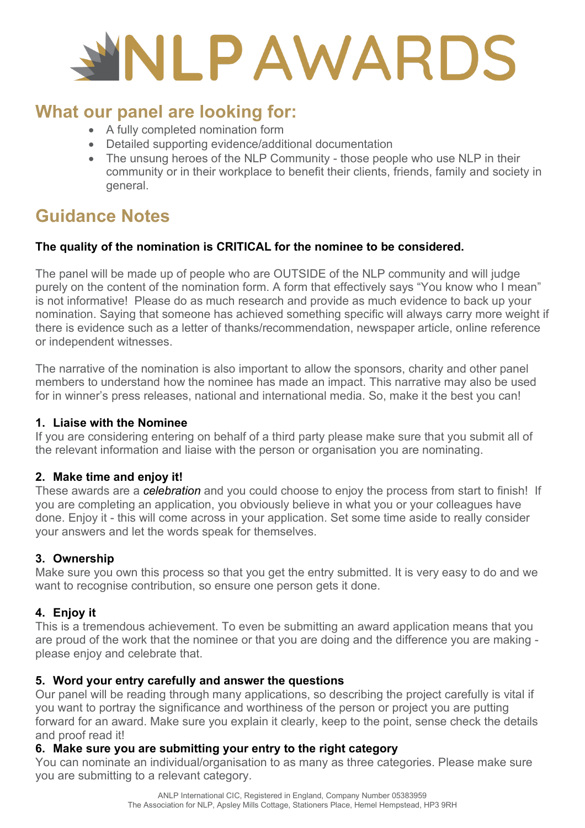# **NLPAWARDS**

## **What our panel are looking for:**

- A fully completed nomination form
- Detailed supporting evidence/additional documentation
- The unsung heroes of the NLP Community those people who use NLP in their community or in their workplace to benefit their clients, friends, family and society in general.

## **Guidance Notes**

#### **The quality of the nomination is CRITICAL for the nominee to be considered.**

The panel will be made up of people who are OUTSIDE of the NLP community and will judge purely on the content of the nomination form. A form that effectively says "You know who I mean" is not informative! Please do as much research and provide as much evidence to back up your nomination. Saying that someone has achieved something specific will always carry more weight if there is evidence such as a letter of thanks/recommendation, newspaper article, online reference or independent witnesses.

The narrative of the nomination is also important to allow the sponsors, charity and other panel members to understand how the nominee has made an impact. This narrative may also be used for in winner's press releases, national and international media. So, make it the best you can!

#### **1. Liaise with the Nominee**

If you are considering entering on behalf of a third party please make sure that you submit all of the relevant information and liaise with the person or organisation you are nominating.

#### **2. Make time and enjoy it!**

These awards are a *celebration* and you could choose to enjoy the process from start to finish! If you are completing an application, you obviously believe in what you or your colleagues have done. Enjoy it - this will come across in your application. Set some time aside to really consider your answers and let the words speak for themselves.

#### **3. Ownership**

Make sure you own this process so that you get the entry submitted. It is very easy to do and we want to recognise contribution, so ensure one person gets it done.

#### **4. Enjoy it**

This is a tremendous achievement. To even be submitting an award application means that you are proud of the work that the nominee or that you are doing and the difference you are making please enjoy and celebrate that.

#### **5. Word your entry carefully and answer the questions**

Our panel will be reading through many applications, so describing the project carefully is vital if you want to portray the significance and worthiness of the person or project you are putting forward for an award. Make sure you explain it clearly, keep to the point, sense check the details and proof read it!

#### **6. Make sure you are submitting your entry to the right category**

You can nominate an individual/organisation to as many as three categories. Please make sure you are submitting to a relevant category.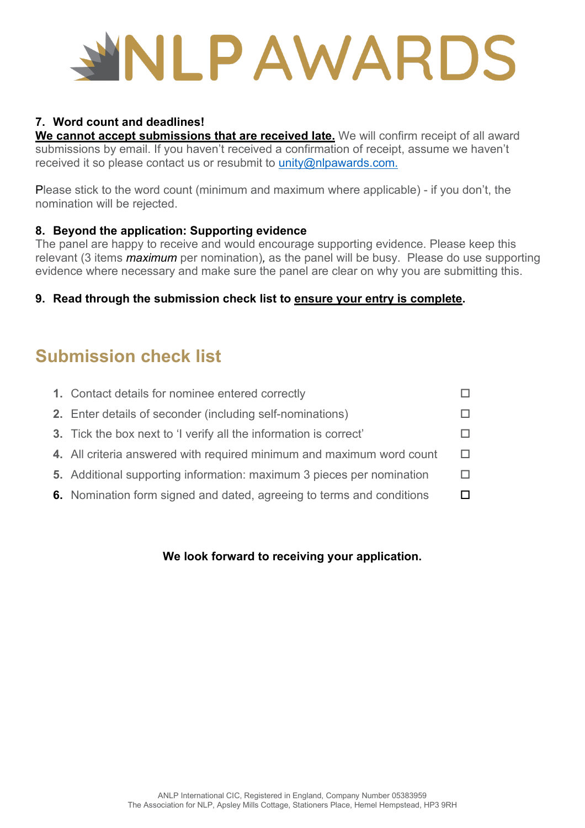## **ILPAWARDS**

#### **7. Word count and deadlines!**

**We cannot accept submissions that are received late.** We will confirm receipt of all award submissions by email. If you haven't received a confirmation of receipt, assume we haven't received it so please contact us or resubmit to [unity@nlpawards.com.](mailto:unity@nlpawards.com)

Please stick to the word count (minimum and maximum where applicable) - if you don't, the nomination will be rejected.

#### **8. Beyond the application: Supporting evidence**

The panel are happy to receive and would encourage supporting evidence. Please keep this relevant (3 items *maximum* per nomination)*,* as the panel will be busy. Please do use supporting evidence where necessary and make sure the panel are clear on why you are submitting this.

#### **9. Read through the submission check list to ensure your entry is complete.**

## **Submission check list**

| 1. Contact details for nominee entered correctly                         |  |
|--------------------------------------------------------------------------|--|
| 2. Enter details of seconder (including self-nominations)                |  |
| <b>3.</b> Tick the box next to 'I verify all the information is correct' |  |
| 4. All criteria answered with required minimum and maximum word count    |  |
| 5. Additional supporting information: maximum 3 pieces per nomination    |  |
| 6. Nomination form signed and dated, agreeing to terms and conditions    |  |
|                                                                          |  |

#### **We look forward to receiving your application.**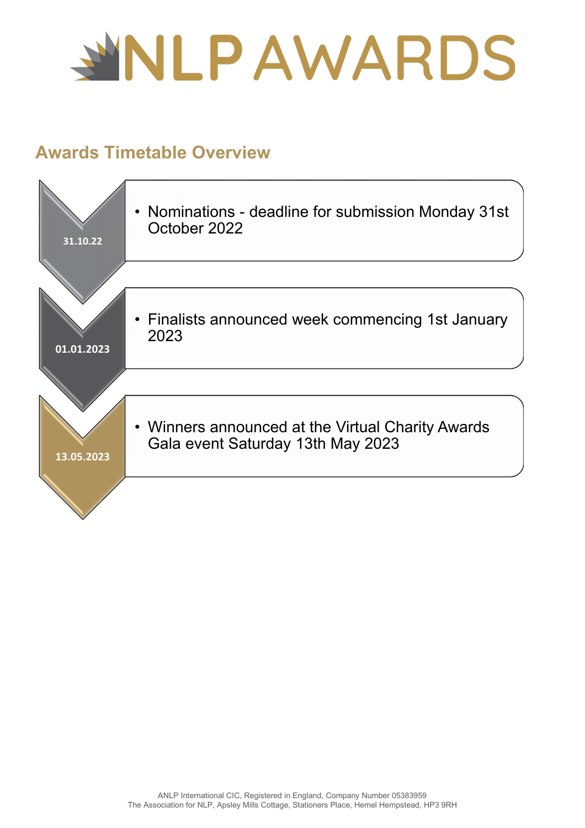

## **Awards Timetable Overview**